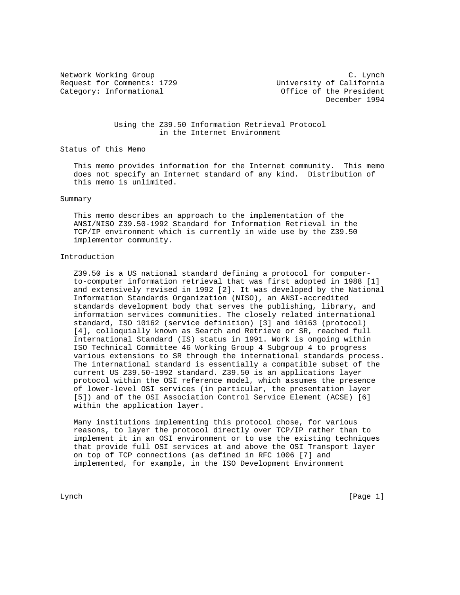Request for Comments: 1729 University of California Category: Informational and Office of the President

Network Working Group C. Lynch December 1994

> Using the Z39.50 Information Retrieval Protocol in the Internet Environment

Status of this Memo

 This memo provides information for the Internet community. This memo does not specify an Internet standard of any kind. Distribution of this memo is unlimited.

### Summary

 This memo describes an approach to the implementation of the ANSI/NISO Z39.50-1992 Standard for Information Retrieval in the TCP/IP environment which is currently in wide use by the Z39.50 implementor community.

# Introduction

 Z39.50 is a US national standard defining a protocol for computer to-computer information retrieval that was first adopted in 1988 [1] and extensively revised in 1992 [2]. It was developed by the National Information Standards Organization (NISO), an ANSI-accredited standards development body that serves the publishing, library, and information services communities. The closely related international standard, ISO 10162 (service definition) [3] and 10163 (protocol) [4], colloquially known as Search and Retrieve or SR, reached full International Standard (IS) status in 1991. Work is ongoing within ISO Technical Committee 46 Working Group 4 Subgroup 4 to progress various extensions to SR through the international standards process. The international standard is essentially a compatible subset of the current US Z39.50-1992 standard. Z39.50 is an applications layer protocol within the OSI reference model, which assumes the presence of lower-level OSI services (in particular, the presentation layer [5]) and of the OSI Association Control Service Element (ACSE) [6] within the application layer.

 Many institutions implementing this protocol chose, for various reasons, to layer the protocol directly over TCP/IP rather than to implement it in an OSI environment or to use the existing techniques that provide full OSI services at and above the OSI Transport layer on top of TCP connections (as defined in RFC 1006 [7] and implemented, for example, in the ISO Development Environment

Lynch [Page 1]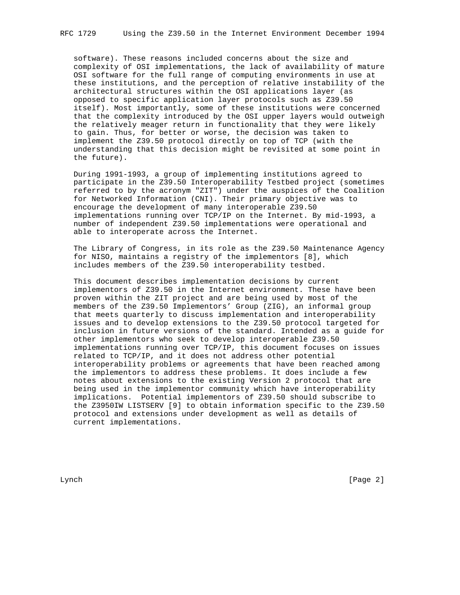software). These reasons included concerns about the size and complexity of OSI implementations, the lack of availability of mature OSI software for the full range of computing environments in use at these institutions, and the perception of relative instability of the architectural structures within the OSI applications layer (as opposed to specific application layer protocols such as Z39.50 itself). Most importantly, some of these institutions were concerned that the complexity introduced by the OSI upper layers would outweigh the relatively meager return in functionality that they were likely to gain. Thus, for better or worse, the decision was taken to implement the Z39.50 protocol directly on top of TCP (with the understanding that this decision might be revisited at some point in the future).

 During 1991-1993, a group of implementing institutions agreed to participate in the Z39.50 Interoperability Testbed project (sometimes referred to by the acronym "ZIT") under the auspices of the Coalition for Networked Information (CNI). Their primary objective was to encourage the development of many interoperable Z39.50 implementations running over TCP/IP on the Internet. By mid-1993, a number of independent Z39.50 implementations were operational and able to interoperate across the Internet.

 The Library of Congress, in its role as the Z39.50 Maintenance Agency for NISO, maintains a registry of the implementors [8], which includes members of the Z39.50 interoperability testbed.

 This document describes implementation decisions by current implementors of Z39.50 in the Internet environment. These have been proven within the ZIT project and are being used by most of the members of the Z39.50 Implementors' Group (ZIG), an informal group that meets quarterly to discuss implementation and interoperability issues and to develop extensions to the Z39.50 protocol targeted for inclusion in future versions of the standard. Intended as a guide for other implementors who seek to develop interoperable Z39.50 implementations running over TCP/IP, this document focuses on issues related to TCP/IP, and it does not address other potential interoperability problems or agreements that have been reached among the implementors to address these problems. It does include a few notes about extensions to the existing Version 2 protocol that are being used in the implementor community which have interoperability implications. Potential implementors of Z39.50 should subscribe to the Z3950IW LISTSERV [9] to obtain information specific to the Z39.50 protocol and extensions under development as well as details of current implementations.

Lynch [Page 2]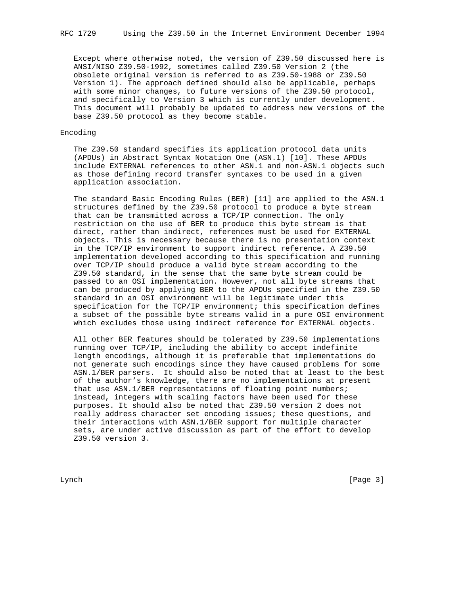Except where otherwise noted, the version of Z39.50 discussed here is ANSI/NISO Z39.50-1992, sometimes called Z39.50 Version 2 (the obsolete original version is referred to as Z39.50-1988 or Z39.50 Version 1). The approach defined should also be applicable, perhaps with some minor changes, to future versions of the Z39.50 protocol, and specifically to Version 3 which is currently under development. This document will probably be updated to address new versions of the base Z39.50 protocol as they become stable.

## Encoding

 The Z39.50 standard specifies its application protocol data units (APDUs) in Abstract Syntax Notation One (ASN.1) [10]. These APDUs include EXTERNAL references to other ASN.1 and non-ASN.1 objects such as those defining record transfer syntaxes to be used in a given application association.

 The standard Basic Encoding Rules (BER) [11] are applied to the ASN.1 structures defined by the Z39.50 protocol to produce a byte stream that can be transmitted across a TCP/IP connection. The only restriction on the use of BER to produce this byte stream is that direct, rather than indirect, references must be used for EXTERNAL objects. This is necessary because there is no presentation context in the TCP/IP environment to support indirect reference. A Z39.50 implementation developed according to this specification and running over TCP/IP should produce a valid byte stream according to the Z39.50 standard, in the sense that the same byte stream could be passed to an OSI implementation. However, not all byte streams that can be produced by applying BER to the APDUs specified in the Z39.50 standard in an OSI environment will be legitimate under this specification for the TCP/IP environment; this specification defines a subset of the possible byte streams valid in a pure OSI environment which excludes those using indirect reference for EXTERNAL objects.

 All other BER features should be tolerated by Z39.50 implementations running over TCP/IP, including the ability to accept indefinite length encodings, although it is preferable that implementations do not generate such encodings since they have caused problems for some ASN.1/BER parsers. It should also be noted that at least to the best of the author's knowledge, there are no implementations at present that use ASN.1/BER representations of floating point numbers; instead, integers with scaling factors have been used for these purposes. It should also be noted that Z39.50 version 2 does not really address character set encoding issues; these questions, and their interactions with ASN.1/BER support for multiple character sets, are under active discussion as part of the effort to develop Z39.50 version 3.

Lynch [Page 3]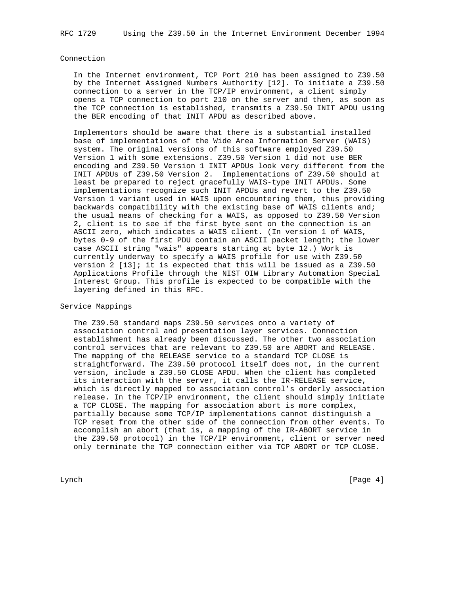## Connection

 In the Internet environment, TCP Port 210 has been assigned to Z39.50 by the Internet Assigned Numbers Authority [12]. To initiate a Z39.50 connection to a server in the TCP/IP environment, a client simply opens a TCP connection to port 210 on the server and then, as soon as the TCP connection is established, transmits a Z39.50 INIT APDU using the BER encoding of that INIT APDU as described above.

 Implementors should be aware that there is a substantial installed base of implementations of the Wide Area Information Server (WAIS) system. The original versions of this software employed Z39.50 Version 1 with some extensions. Z39.50 Version 1 did not use BER encoding and Z39.50 Version 1 INIT APDUs look very different from the INIT APDUs of Z39.50 Version 2. Implementations of Z39.50 should at least be prepared to reject gracefully WAIS-type INIT APDUs. Some implementations recognize such INIT APDUs and revert to the Z39.50 Version 1 variant used in WAIS upon encountering them, thus providing backwards compatibility with the existing base of WAIS clients and; the usual means of checking for a WAIS, as opposed to Z39.50 Version 2, client is to see if the first byte sent on the connection is an ASCII zero, which indicates a WAIS client. (In version 1 of WAIS, bytes 0-9 of the first PDU contain an ASCII packet length; the lower case ASCII string "wais" appears starting at byte 12.) Work is currently underway to specify a WAIS profile for use with Z39.50 version 2 [13]; it is expected that this will be issued as a Z39.50 Applications Profile through the NIST OIW Library Automation Special Interest Group. This profile is expected to be compatible with the layering defined in this RFC.

# Service Mappings

 The Z39.50 standard maps Z39.50 services onto a variety of association control and presentation layer services. Connection establishment has already been discussed. The other two association control services that are relevant to Z39.50 are ABORT and RELEASE. The mapping of the RELEASE service to a standard TCP CLOSE is straightforward. The Z39.50 protocol itself does not, in the current version, include a Z39.50 CLOSE APDU. When the client has completed its interaction with the server, it calls the IR-RELEASE service, which is directly mapped to association control's orderly association release. In the TCP/IP environment, the client should simply initiate a TCP CLOSE. The mapping for association abort is more complex, partially because some TCP/IP implementations cannot distinguish a TCP reset from the other side of the connection from other events. To accomplish an abort (that is, a mapping of the IR-ABORT service in the Z39.50 protocol) in the TCP/IP environment, client or server need only terminate the TCP connection either via TCP ABORT or TCP CLOSE.

Lynch [Page 4]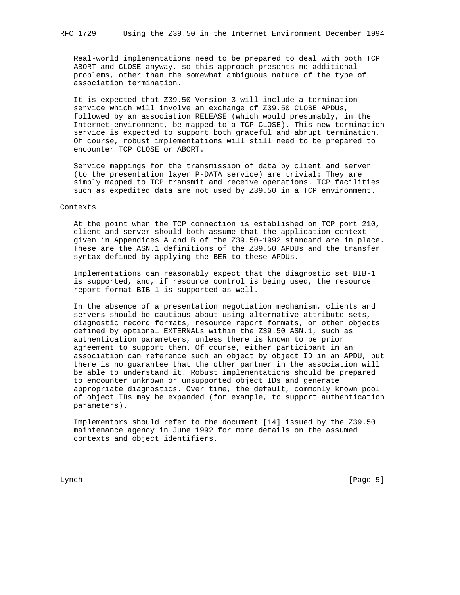Real-world implementations need to be prepared to deal with both TCP ABORT and CLOSE anyway, so this approach presents no additional problems, other than the somewhat ambiguous nature of the type of association termination.

 It is expected that Z39.50 Version 3 will include a termination service which will involve an exchange of Z39.50 CLOSE APDUs, followed by an association RELEASE (which would presumably, in the Internet environment, be mapped to a TCP CLOSE). This new termination service is expected to support both graceful and abrupt termination. Of course, robust implementations will still need to be prepared to encounter TCP CLOSE or ABORT.

 Service mappings for the transmission of data by client and server (to the presentation layer P-DATA service) are trivial: They are simply mapped to TCP transmit and receive operations. TCP facilities such as expedited data are not used by Z39.50 in a TCP environment.

### Contexts

 At the point when the TCP connection is established on TCP port 210, client and server should both assume that the application context given in Appendices A and B of the Z39.50-1992 standard are in place. These are the ASN.1 definitions of the Z39.50 APDUs and the transfer syntax defined by applying the BER to these APDUs.

 Implementations can reasonably expect that the diagnostic set BIB-1 is supported, and, if resource control is being used, the resource report format BIB-1 is supported as well.

 In the absence of a presentation negotiation mechanism, clients and servers should be cautious about using alternative attribute sets, diagnostic record formats, resource report formats, or other objects defined by optional EXTERNALs within the Z39.50 ASN.1, such as authentication parameters, unless there is known to be prior agreement to support them. Of course, either participant in an association can reference such an object by object ID in an APDU, but there is no guarantee that the other partner in the association will be able to understand it. Robust implementations should be prepared to encounter unknown or unsupported object IDs and generate appropriate diagnostics. Over time, the default, commonly known pool of object IDs may be expanded (for example, to support authentication parameters).

 Implementors should refer to the document [14] issued by the Z39.50 maintenance agency in June 1992 for more details on the assumed contexts and object identifiers.

Lynch [Page 5]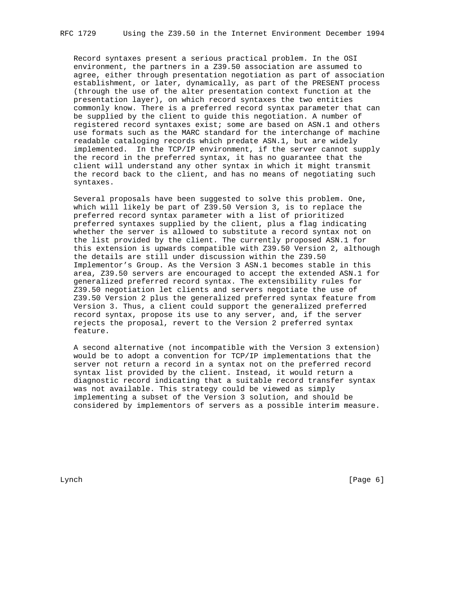Record syntaxes present a serious practical problem. In the OSI environment, the partners in a Z39.50 association are assumed to agree, either through presentation negotiation as part of association establishment, or later, dynamically, as part of the PRESENT process (through the use of the alter presentation context function at the presentation layer), on which record syntaxes the two entities commonly know. There is a preferred record syntax parameter that can be supplied by the client to guide this negotiation. A number of registered record syntaxes exist; some are based on ASN.1 and others use formats such as the MARC standard for the interchange of machine readable cataloging records which predate ASN.1, but are widely implemented. In the TCP/IP environment, if the server cannot supply the record in the preferred syntax, it has no guarantee that the client will understand any other syntax in which it might transmit the record back to the client, and has no means of negotiating such syntaxes.

 Several proposals have been suggested to solve this problem. One, which will likely be part of Z39.50 Version 3, is to replace the preferred record syntax parameter with a list of prioritized preferred syntaxes supplied by the client, plus a flag indicating whether the server is allowed to substitute a record syntax not on the list provided by the client. The currently proposed ASN.1 for this extension is upwards compatible with Z39.50 Version 2, although the details are still under discussion within the Z39.50 Implementor's Group. As the Version 3 ASN.1 becomes stable in this area, Z39.50 servers are encouraged to accept the extended ASN.1 for generalized preferred record syntax. The extensibility rules for Z39.50 negotiation let clients and servers negotiate the use of Z39.50 Version 2 plus the generalized preferred syntax feature from Version 3. Thus, a client could support the generalized preferred record syntax, propose its use to any server, and, if the server rejects the proposal, revert to the Version 2 preferred syntax feature.

 A second alternative (not incompatible with the Version 3 extension) would be to adopt a convention for TCP/IP implementations that the server not return a record in a syntax not on the preferred record syntax list provided by the client. Instead, it would return a diagnostic record indicating that a suitable record transfer syntax was not available. This strategy could be viewed as simply implementing a subset of the Version 3 solution, and should be considered by implementors of servers as a possible interim measure.

Lynch [Page 6]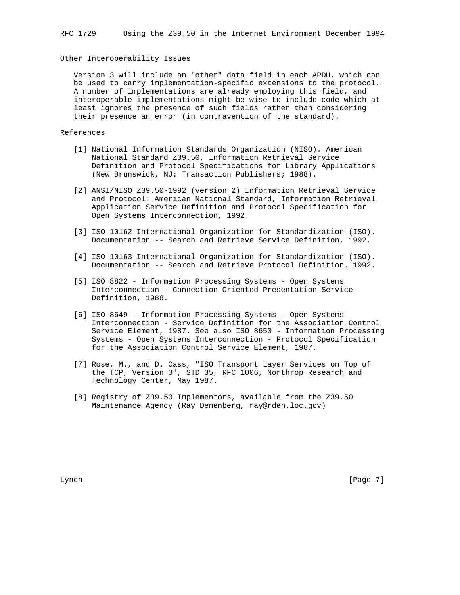## Other Interoperability Issues

 Version 3 will include an "other" data field in each APDU, which can be used to carry implementation-specific extensions to the protocol. A number of implementations are already employing this field, and interoperable implementations might be wise to include code which at least ignores the presence of such fields rather than considering their presence an error (in contravention of the standard).

# References

- [1] National Information Standards Organization (NISO). American National Standard Z39.50, Information Retrieval Service Definition and Protocol Specifications for Library Applications (New Brunswick, NJ: Transaction Publishers; 1988).
- [2] ANSI/NISO Z39.50-1992 (version 2) Information Retrieval Service and Protocol: American National Standard, Information Retrieval Application Service Definition and Protocol Specification for Open Systems Interconnection, 1992.
- [3] ISO 10162 International Organization for Standardization (ISO). Documentation -- Search and Retrieve Service Definition, 1992.
- [4] ISO 10163 International Organization for Standardization (ISO). Documentation -- Search and Retrieve Protocol Definition. 1992.
- [5] ISO 8822 Information Processing Systems Open Systems Interconnection - Connection Oriented Presentation Service Definition, 1988.
- [6] ISO 8649 Information Processing Systems Open Systems Interconnection - Service Definition for the Association Control Service Element, 1987. See also ISO 8650 - Information Processing Systems - Open Systems Interconnection - Protocol Specification for the Association Control Service Element, 1987.
- [7] Rose, M., and D. Cass, "ISO Transport Layer Services on Top of the TCP, Version 3", STD 35, RFC 1006, Northrop Research and Technology Center, May 1987.
- [8] Registry of Z39.50 Implementors, available from the Z39.50 Maintenance Agency (Ray Denenberg, ray@rden.loc.gov)